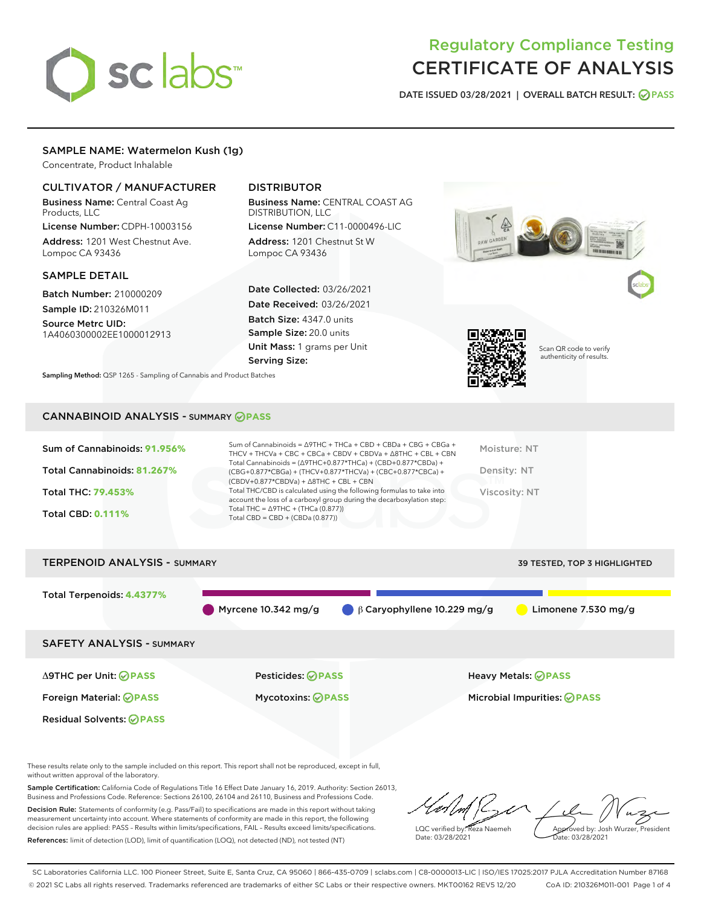# sclabs

# Regulatory Compliance Testing CERTIFICATE OF ANALYSIS

DATE ISSUED 03/28/2021 | OVERALL BATCH RESULT: @ PASS

# SAMPLE NAME: Watermelon Kush (1g)

Concentrate, Product Inhalable

# CULTIVATOR / MANUFACTURER

Business Name: Central Coast Ag Products, LLC

License Number: CDPH-10003156 Address: 1201 West Chestnut Ave. Lompoc CA 93436

#### SAMPLE DETAIL

Batch Number: 210000209 Sample ID: 210326M011

Source Metrc UID:

1A4060300002EE1000012913

# DISTRIBUTOR

Business Name: CENTRAL COAST AG DISTRIBUTION, LLC

License Number: C11-0000496-LIC Address: 1201 Chestnut St W Lompoc CA 93436

Date Collected: 03/26/2021 Date Received: 03/26/2021 Batch Size: 4347.0 units Sample Size: 20.0 units Unit Mass: 1 grams per Unit Serving Size:





Scan QR code to verify authenticity of results.

Sampling Method: QSP 1265 - Sampling of Cannabis and Product Batches

# CANNABINOID ANALYSIS - SUMMARY **PASS**

| Sum of Cannabinoids: 91.956% | Sum of Cannabinoids = $\triangle$ 9THC + THCa + CBD + CBDa + CBG + CBGa +<br>THCV + THCVa + CBC + CBCa + CBDV + CBDVa + $\Delta$ 8THC + CBL + CBN                                    | Moisture: NT  |
|------------------------------|--------------------------------------------------------------------------------------------------------------------------------------------------------------------------------------|---------------|
| Total Cannabinoids: 81.267%  | Total Cannabinoids = $(\Delta$ 9THC+0.877*THCa) + (CBD+0.877*CBDa) +<br>(CBG+0.877*CBGa) + (THCV+0.877*THCVa) + (CBC+0.877*CBCa) +<br>$(CBDV+0.877*CBDVa) + \Delta 8THC + CBL + CBN$ | Density: NT   |
| <b>Total THC: 79.453%</b>    | Total THC/CBD is calculated using the following formulas to take into<br>account the loss of a carboxyl group during the decarboxylation step:                                       | Viscosity: NT |
| <b>Total CBD: 0.111%</b>     | Total THC = $\triangle$ 9THC + (THCa (0.877))<br>Total CBD = $CBD + (CBDa (0.877))$                                                                                                  |               |
|                              |                                                                                                                                                                                      |               |



These results relate only to the sample included on this report. This report shall not be reproduced, except in full, without written approval of the laboratory.

Sample Certification: California Code of Regulations Title 16 Effect Date January 16, 2019. Authority: Section 26013, Business and Professions Code. Reference: Sections 26100, 26104 and 26110, Business and Professions Code.

Decision Rule: Statements of conformity (e.g. Pass/Fail) to specifications are made in this report without taking measurement uncertainty into account. Where statements of conformity are made in this report, the following decision rules are applied: PASS – Results within limits/specifications, FAIL – Results exceed limits/specifications. References: limit of detection (LOD), limit of quantification (LOQ), not detected (ND), not tested (NT)

LQC verified by: Reza Naemeh Date: 03/28/2021 Approved by: Josh Wurzer, President Date: 03/28/2021

SC Laboratories California LLC. 100 Pioneer Street, Suite E, Santa Cruz, CA 95060 | 866-435-0709 | sclabs.com | C8-0000013-LIC | ISO/IES 17025:2017 PJLA Accreditation Number 87168 © 2021 SC Labs all rights reserved. Trademarks referenced are trademarks of either SC Labs or their respective owners. MKT00162 REV5 12/20 CoA ID: 210326M011-001 Page 1 of 4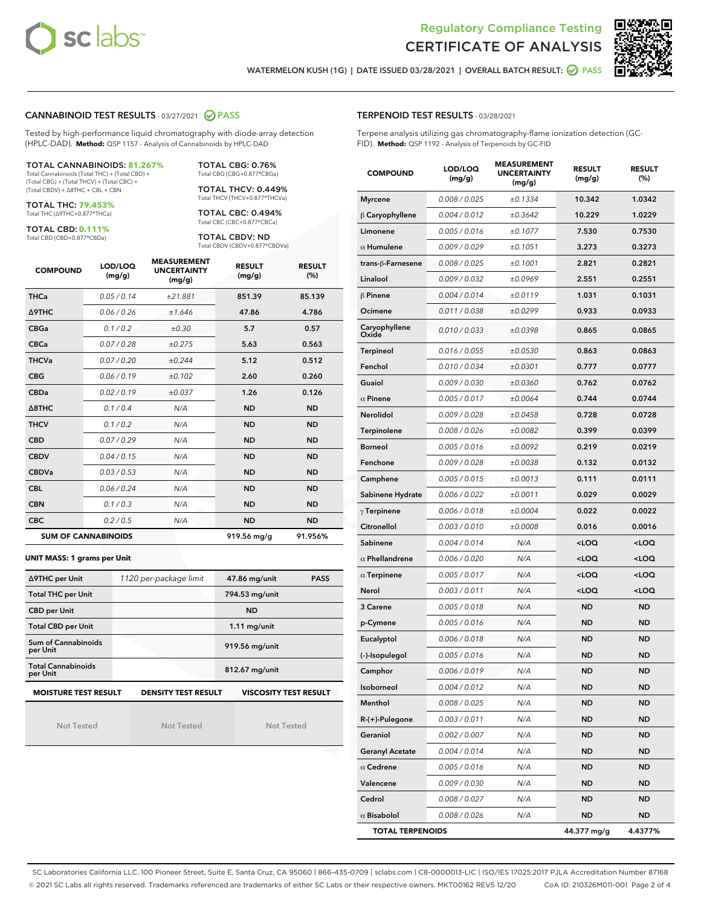



WATERMELON KUSH (1G) | DATE ISSUED 03/28/2021 | OVERALL BATCH RESULT:  $\bigcirc$  PASS

# CANNABINOID TEST RESULTS - 03/27/2021 2 PASS

Tested by high-performance liquid chromatography with diode-array detection (HPLC-DAD). **Method:** QSP 1157 - Analysis of Cannabinoids by HPLC-DAD

#### TOTAL CANNABINOIDS: **81.267%** Total Cannabinoids (Total THC) + (Total CBD) +

(Total CBG) + (Total THCV) + (Total CBC) + (Total CBDV) + ∆8THC + CBL + CBN

TOTAL THC: **79.453%** Total THC (∆9THC+0.877\*THCa)

TOTAL CBD: **0.111%**

Total CBD (CBD+0.877\*CBDa)

TOTAL CBG: 0.76% Total CBG (CBG+0.877\*CBGa)

TOTAL THCV: 0.449% Total THCV (THCV+0.877\*THCVa)

TOTAL CBC: 0.494% Total CBC (CBC+0.877\*CBCa)

TOTAL CBDV: ND Total CBDV (CBDV+0.877\*CBDVa)

| <b>COMPOUND</b>  | LOD/LOQ<br>(mg/g)          | <b>MEASUREMENT</b><br><b>UNCERTAINTY</b><br>(mg/g) | <b>RESULT</b><br>(mg/g) | <b>RESULT</b><br>(%) |
|------------------|----------------------------|----------------------------------------------------|-------------------------|----------------------|
| <b>THCa</b>      | 0.05/0.14                  | ±21.881                                            | 851.39                  | 85.139               |
| <b>A9THC</b>     | 0.06 / 0.26                | ±1.646                                             | 47.86                   | 4.786                |
| <b>CBGa</b>      | 0.1 / 0.2                  | ±0.30                                              | 5.7                     | 0.57                 |
| <b>CBCa</b>      | 0.07/0.28                  | ±0.275                                             | 5.63                    | 0.563                |
| <b>THCVa</b>     | 0.07/0.20                  | ±0.244                                             | 5.12                    | 0.512                |
| <b>CBG</b>       | 0.06/0.19                  | ±0.102                                             | 2.60                    | 0.260                |
| <b>CBDa</b>      | 0.02/0.19                  | ±0.037                                             | 1.26                    | 0.126                |
| $\triangle$ 8THC | 0.1/0.4                    | N/A                                                | <b>ND</b>               | <b>ND</b>            |
| <b>THCV</b>      | 0.1/0.2                    | N/A                                                | <b>ND</b>               | <b>ND</b>            |
| <b>CBD</b>       | 0.07/0.29                  | N/A                                                | <b>ND</b>               | <b>ND</b>            |
| <b>CBDV</b>      | 0.04 / 0.15                | N/A                                                | <b>ND</b>               | <b>ND</b>            |
| <b>CBDVa</b>     | 0.03/0.53                  | N/A                                                | <b>ND</b>               | <b>ND</b>            |
| <b>CBL</b>       | 0.06 / 0.24                | N/A                                                | <b>ND</b>               | <b>ND</b>            |
| <b>CBN</b>       | 0.1/0.3                    | N/A                                                | <b>ND</b>               | <b>ND</b>            |
| <b>CBC</b>       | 0.2 / 0.5                  | N/A                                                | <b>ND</b>               | <b>ND</b>            |
|                  | <b>SUM OF CANNABINOIDS</b> |                                                    | 919.56 mg/g             | 91.956%              |

#### **UNIT MASS: 1 grams per Unit**

| ∆9THC per Unit                        | 1120 per-package limit     | 47.86 mg/unit<br><b>PASS</b> |
|---------------------------------------|----------------------------|------------------------------|
| <b>Total THC per Unit</b>             |                            | 794.53 mg/unit               |
| <b>CBD per Unit</b>                   |                            | <b>ND</b>                    |
| <b>Total CBD per Unit</b>             |                            | $1.11$ mg/unit               |
| Sum of Cannabinoids<br>per Unit       |                            | 919.56 mg/unit               |
| <b>Total Cannabinoids</b><br>per Unit |                            | 812.67 mg/unit               |
| <b>MOISTURE TEST RESULT</b>           | <b>DENSITY TEST RESULT</b> | <b>VISCOSITY TEST RESULT</b> |

Not Tested

Not Tested

Not Tested

#### TERPENOID TEST RESULTS - 03/28/2021

Terpene analysis utilizing gas chromatography-flame ionization detection (GC-FID). **Method:** QSP 1192 - Analysis of Terpenoids by GC-FID

| <b>COMPOUND</b>         | LOD/LOQ<br>(mg/g) | <b>MEASUREMENT</b><br><b>UNCERTAINTY</b><br>(mg/g) | <b>RESULT</b><br>(mg/g)                         | <b>RESULT</b><br>$(\%)$ |
|-------------------------|-------------------|----------------------------------------------------|-------------------------------------------------|-------------------------|
| <b>Myrcene</b>          | 0.008 / 0.025     | ±0.1334                                            | 10.342                                          | 1.0342                  |
| $\beta$ Caryophyllene   | 0.004 / 0.012     | ±0.3642                                            | 10.229                                          | 1.0229                  |
| Limonene                | 0.005 / 0.016     | ±0.1077                                            | 7.530                                           | 0.7530                  |
| $\alpha$ Humulene       | 0.009 / 0.029     | ±0.1051                                            | 3.273                                           | 0.3273                  |
| trans-β-Farnesene       | 0.008 / 0.025     | ±0.1001                                            | 2.821                                           | 0.2821                  |
| Linalool                | 0.009 / 0.032     | ±0.0969                                            | 2.551                                           | 0.2551                  |
| $\beta$ Pinene          | 0.004 / 0.014     | ±0.0119                                            | 1.031                                           | 0.1031                  |
| Ocimene                 | 0.011 / 0.038     | ±0.0299                                            | 0.933                                           | 0.0933                  |
| Caryophyllene<br>Oxide  | 0.010 / 0.033     | ±0.0398                                            | 0.865                                           | 0.0865                  |
| <b>Terpineol</b>        | 0.016 / 0.055     | ±0.0530                                            | 0.863                                           | 0.0863                  |
| Fenchol                 | 0.010 / 0.034     | ±0.0301                                            | 0.777                                           | 0.0777                  |
| Guaiol                  | 0.009 / 0.030     | ±0.0360                                            | 0.762                                           | 0.0762                  |
| $\alpha$ Pinene         | 0.005 / 0.017     | ±0.0064                                            | 0.744                                           | 0.0744                  |
| Nerolidol               | 0.009 / 0.028     | ±0.0458                                            | 0.728                                           | 0.0728                  |
| <b>Terpinolene</b>      | 0.008 / 0.026     | ±0.0082                                            | 0.399                                           | 0.0399                  |
| Borneol                 | 0.005 / 0.016     | ±0.0092                                            | 0.219                                           | 0.0219                  |
| Fenchone                | 0.009 / 0.028     | ±0.0038                                            | 0.132                                           | 0.0132                  |
| Camphene                | 0.005 / 0.015     | ±0.0013                                            | 0.111                                           | 0.0111                  |
| Sabinene Hydrate        | 0.006 / 0.022     | ±0.0011                                            | 0.029                                           | 0.0029                  |
| $\gamma$ Terpinene      | 0.006 / 0.018     | ±0.0004                                            | 0.022                                           | 0.0022                  |
| Citronellol             | 0.003 / 0.010     | ±0.0008                                            | 0.016                                           | 0.0016                  |
| Sabinene                | 0.004 / 0.014     | N/A                                                | <loq< th=""><th><loq< th=""></loq<></th></loq<> | <loq< th=""></loq<>     |
| $\alpha$ Phellandrene   | 0.006 / 0.020     | N/A                                                | <loq< th=""><th><loq< th=""></loq<></th></loq<> | <loq< th=""></loq<>     |
| $\alpha$ Terpinene      | 0.005 / 0.017     | N/A                                                | <loq< th=""><th><loq< th=""></loq<></th></loq<> | <loq< th=""></loq<>     |
| Nerol                   | 0.003 / 0.011     | N/A                                                | <loq< th=""><th><loq< th=""></loq<></th></loq<> | <loq< th=""></loq<>     |
| <b>3 Carene</b>         | 0.005 / 0.018     | N/A                                                | <b>ND</b>                                       | <b>ND</b>               |
| p-Cymene                | 0.005 / 0.016     | N/A                                                | <b>ND</b>                                       | <b>ND</b>               |
| Eucalyptol              | 0.006 / 0.018     | N/A                                                | <b>ND</b>                                       | <b>ND</b>               |
| (-)-Isopulegol          | 0.005 / 0.016     | N/A                                                | <b>ND</b>                                       | <b>ND</b>               |
| Camphor                 | 0.006 / 0.019     | N/A                                                | <b>ND</b>                                       | <b>ND</b>               |
| Isoborneol              | 0.004 / 0.012     | N/A                                                | ND                                              | ND                      |
| Menthol                 | 0.008 / 0.025     | N/A                                                | <b>ND</b>                                       | ND                      |
| R-(+)-Pulegone          | 0.003 / 0.011     | N/A                                                | <b>ND</b>                                       | ND                      |
| Geraniol                | 0.002 / 0.007     | N/A                                                | ND                                              | ND                      |
| <b>Geranyl Acetate</b>  | 0.004 / 0.014     | N/A                                                | ND                                              | ND                      |
| $\alpha$ Cedrene        | 0.005 / 0.016     | N/A                                                | <b>ND</b>                                       | ND                      |
| Valencene               | 0.009 / 0.030     | N/A                                                | ND                                              | ND                      |
| Cedrol                  | 0.008 / 0.027     | N/A                                                | <b>ND</b>                                       | ND                      |
| $\alpha$ Bisabolol      | 0.008 / 0.026     | N/A                                                | ND                                              | <b>ND</b>               |
| <b>TOTAL TERPENOIDS</b> |                   |                                                    | 44.377 mg/g                                     | 4.4377%                 |

SC Laboratories California LLC. 100 Pioneer Street, Suite E, Santa Cruz, CA 95060 | 866-435-0709 | sclabs.com | C8-0000013-LIC | ISO/IES 17025:2017 PJLA Accreditation Number 87168 © 2021 SC Labs all rights reserved. Trademarks referenced are trademarks of either SC Labs or their respective owners. MKT00162 REV5 12/20 CoA ID: 210326M011-001 Page 2 of 4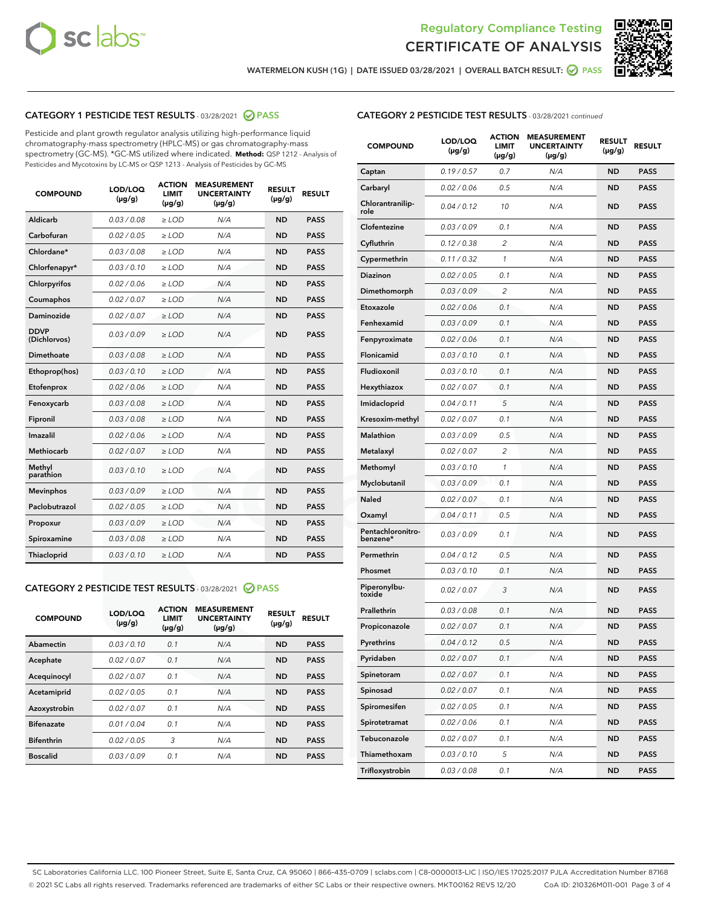



WATERMELON KUSH (1G) | DATE ISSUED 03/28/2021 | OVERALL BATCH RESULT: @ PASS

# CATEGORY 1 PESTICIDE TEST RESULTS - 03/28/2021 @ PASS

Pesticide and plant growth regulator analysis utilizing high-performance liquid chromatography-mass spectrometry (HPLC-MS) or gas chromatography-mass spectrometry (GC-MS). \*GC-MS utilized where indicated. **Method:** QSP 1212 - Analysis of Pesticides and Mycotoxins by LC-MS or QSP 1213 - Analysis of Pesticides by GC-MS

| <b>COMPOUND</b>             | LOD/LOQ<br>$(\mu g/g)$ | <b>ACTION</b><br><b>LIMIT</b><br>$(\mu g/g)$ | <b>MEASUREMENT</b><br><b>UNCERTAINTY</b><br>$(\mu g/g)$ | <b>RESULT</b><br>$(\mu g/g)$ | <b>RESULT</b> |
|-----------------------------|------------------------|----------------------------------------------|---------------------------------------------------------|------------------------------|---------------|
| Aldicarb                    | 0.03/0.08              | $>$ LOD                                      | N/A                                                     | <b>ND</b>                    | <b>PASS</b>   |
| Carbofuran                  | 0.02 / 0.05            | $\ge$ LOD                                    | N/A                                                     | <b>ND</b>                    | <b>PASS</b>   |
| Chlordane*                  | 0.03/0.08              | $>$ LOD                                      | N/A                                                     | <b>ND</b>                    | <b>PASS</b>   |
| Chlorfenapyr*               | 0.03/0.10              | $\geq$ LOD                                   | N/A                                                     | <b>ND</b>                    | <b>PASS</b>   |
| Chlorpyrifos                | 0.02 / 0.06            | $\ge$ LOD                                    | N/A                                                     | <b>ND</b>                    | <b>PASS</b>   |
| Coumaphos                   | 0.02 / 0.07            | $\ge$ LOD                                    | N/A                                                     | <b>ND</b>                    | <b>PASS</b>   |
| Daminozide                  | 0.02 / 0.07            | $\ge$ LOD                                    | N/A                                                     | <b>ND</b>                    | <b>PASS</b>   |
| <b>DDVP</b><br>(Dichlorvos) | 0.03/0.09              | $\ge$ LOD                                    | N/A                                                     | <b>ND</b>                    | <b>PASS</b>   |
| <b>Dimethoate</b>           | 0.03 / 0.08            | $\ge$ LOD                                    | N/A                                                     | <b>ND</b>                    | <b>PASS</b>   |
| Ethoprop(hos)               | 0.03/0.10              | $\ge$ LOD                                    | N/A                                                     | <b>ND</b>                    | <b>PASS</b>   |
| Etofenprox                  | 0.02 / 0.06            | $\ge$ LOD                                    | N/A                                                     | <b>ND</b>                    | <b>PASS</b>   |
| Fenoxycarb                  | 0.03 / 0.08            | $\ge$ LOD                                    | N/A                                                     | <b>ND</b>                    | <b>PASS</b>   |
| Fipronil                    | 0.03/0.08              | $>$ LOD                                      | N/A                                                     | <b>ND</b>                    | <b>PASS</b>   |
| Imazalil                    | 0.02 / 0.06            | $\ge$ LOD                                    | N/A                                                     | <b>ND</b>                    | <b>PASS</b>   |
| Methiocarb                  | 0.02 / 0.07            | $\ge$ LOD                                    | N/A                                                     | <b>ND</b>                    | <b>PASS</b>   |
| Methyl<br>parathion         | 0.03/0.10              | $\ge$ LOD                                    | N/A                                                     | <b>ND</b>                    | <b>PASS</b>   |
| <b>Mevinphos</b>            | 0.03/0.09              | $\ge$ LOD                                    | N/A                                                     | <b>ND</b>                    | <b>PASS</b>   |
| Paclobutrazol               | 0.02 / 0.05            | $>$ LOD                                      | N/A                                                     | <b>ND</b>                    | <b>PASS</b>   |
| Propoxur                    | 0.03/0.09              | $\ge$ LOD                                    | N/A                                                     | <b>ND</b>                    | <b>PASS</b>   |
| Spiroxamine                 | 0.03 / 0.08            | $\ge$ LOD                                    | N/A                                                     | <b>ND</b>                    | <b>PASS</b>   |
| Thiacloprid                 | 0.03/0.10              | $\ge$ LOD                                    | N/A                                                     | <b>ND</b>                    | <b>PASS</b>   |

# CATEGORY 2 PESTICIDE TEST RESULTS - 03/28/2021 @ PASS

| <b>COMPOUND</b>   | LOD/LOQ<br>$(\mu g/g)$ | <b>ACTION</b><br><b>LIMIT</b><br>$(\mu g/g)$ | <b>MEASUREMENT</b><br><b>UNCERTAINTY</b><br>$(\mu g/g)$ | <b>RESULT</b><br>$(\mu g/g)$ | <b>RESULT</b> |
|-------------------|------------------------|----------------------------------------------|---------------------------------------------------------|------------------------------|---------------|
| Abamectin         | 0.03/0.10              | 0.1                                          | N/A                                                     | <b>ND</b>                    | <b>PASS</b>   |
| Acephate          | 0.02/0.07              | 0.1                                          | N/A                                                     | <b>ND</b>                    | <b>PASS</b>   |
| Acequinocyl       | 0.02/0.07              | 0.1                                          | N/A                                                     | <b>ND</b>                    | <b>PASS</b>   |
| Acetamiprid       | 0.02/0.05              | 0.1                                          | N/A                                                     | <b>ND</b>                    | <b>PASS</b>   |
| Azoxystrobin      | 0.02/0.07              | 0.1                                          | N/A                                                     | <b>ND</b>                    | <b>PASS</b>   |
| <b>Bifenazate</b> | 0.01/0.04              | 0.1                                          | N/A                                                     | <b>ND</b>                    | <b>PASS</b>   |
| <b>Bifenthrin</b> | 0.02/0.05              | 3                                            | N/A                                                     | <b>ND</b>                    | <b>PASS</b>   |
| <b>Boscalid</b>   | 0.03/0.09              | 0.1                                          | N/A                                                     | <b>ND</b>                    | <b>PASS</b>   |

# CATEGORY 2 PESTICIDE TEST RESULTS - 03/28/2021 continued

| <b>COMPOUND</b>               | LOD/LOQ<br>(µg/g) | <b>ACTION</b><br>LIMIT<br>$(\mu g/g)$ | <b>MEASUREMENT</b><br><b>UNCERTAINTY</b><br>$(\mu g/g)$ | <b>RESULT</b><br>(µg/g) | <b>RESULT</b> |
|-------------------------------|-------------------|---------------------------------------|---------------------------------------------------------|-------------------------|---------------|
| Captan                        | 0.19/0.57         | 0.7                                   | N/A                                                     | <b>ND</b>               | <b>PASS</b>   |
| Carbaryl                      | 0.02 / 0.06       | 0.5                                   | N/A                                                     | <b>ND</b>               | <b>PASS</b>   |
| Chlorantranilip-<br>role      | 0.04 / 0.12       | 10                                    | N/A                                                     | <b>ND</b>               | <b>PASS</b>   |
| Clofentezine                  | 0.03 / 0.09       | 0.1                                   | N/A                                                     | <b>ND</b>               | <b>PASS</b>   |
| Cyfluthrin                    | 0.12 / 0.38       | 2                                     | N/A                                                     | <b>ND</b>               | <b>PASS</b>   |
| Cypermethrin                  | 0.11 / 0.32       | 1                                     | N/A                                                     | <b>ND</b>               | <b>PASS</b>   |
| <b>Diazinon</b>               | 0.02 / 0.05       | 0.1                                   | N/A                                                     | <b>ND</b>               | <b>PASS</b>   |
| Dimethomorph                  | 0.03 / 0.09       | 2                                     | N/A                                                     | ND                      | <b>PASS</b>   |
| Etoxazole                     | 0.02 / 0.06       | 0.1                                   | N/A                                                     | <b>ND</b>               | <b>PASS</b>   |
| Fenhexamid                    | 0.03 / 0.09       | 0.1                                   | N/A                                                     | <b>ND</b>               | <b>PASS</b>   |
| Fenpyroximate                 | 0.02 / 0.06       | 0.1                                   | N/A                                                     | <b>ND</b>               | <b>PASS</b>   |
| Flonicamid                    | 0.03/0.10         | 0.1                                   | N/A                                                     | <b>ND</b>               | <b>PASS</b>   |
| Fludioxonil                   | 0.03 / 0.10       | 0.1                                   | N/A                                                     | <b>ND</b>               | <b>PASS</b>   |
| Hexythiazox                   | 0.02 / 0.07       | 0.1                                   | N/A                                                     | ND                      | <b>PASS</b>   |
| Imidacloprid                  | 0.04 / 0.11       | 5                                     | N/A                                                     | <b>ND</b>               | <b>PASS</b>   |
| Kresoxim-methyl               | 0.02 / 0.07       | 0.1                                   | N/A                                                     | <b>ND</b>               | <b>PASS</b>   |
| Malathion                     | 0.03 / 0.09       | 0.5                                   | N/A                                                     | <b>ND</b>               | <b>PASS</b>   |
| Metalaxyl                     | 0.02 / 0.07       | 2                                     | N/A                                                     | <b>ND</b>               | <b>PASS</b>   |
| Methomyl                      | 0.03 / 0.10       | $\mathbf{1}$                          | N/A                                                     | <b>ND</b>               | <b>PASS</b>   |
| Myclobutanil                  | 0.03 / 0.09       | 0.1                                   | N/A                                                     | ND                      | <b>PASS</b>   |
| Naled                         | 0.02 / 0.07       | 0.1                                   | N/A                                                     | <b>ND</b>               | <b>PASS</b>   |
| Oxamyl                        | 0.04 / 0.11       | 0.5                                   | N/A                                                     | <b>ND</b>               | <b>PASS</b>   |
| Pentachloronitro-<br>benzene* | 0.03 / 0.09       | 0.1                                   | N/A                                                     | <b>ND</b>               | <b>PASS</b>   |
| Permethrin                    | 0.04 / 0.12       | 0.5                                   | N/A                                                     | <b>ND</b>               | <b>PASS</b>   |
| Phosmet                       | 0.03 / 0.10       | 0.1                                   | N/A                                                     | <b>ND</b>               | <b>PASS</b>   |
| Piperonylbu-<br>toxide        | 0.02 / 0.07       | 3                                     | N/A                                                     | <b>ND</b>               | <b>PASS</b>   |
| Prallethrin                   | 0.03 / 0.08       | 0.1                                   | N/A                                                     | <b>ND</b>               | <b>PASS</b>   |
| Propiconazole                 | 0.02 / 0.07       | 0.1                                   | N/A                                                     | <b>ND</b>               | <b>PASS</b>   |
| Pyrethrins                    | 0.04 / 0.12       | 0.5                                   | N/A                                                     | ND                      | PASS          |
| Pyridaben                     | 0.02 / 0.07       | 0.1                                   | N/A                                                     | <b>ND</b>               | <b>PASS</b>   |
| Spinetoram                    | 0.02 / 0.07       | 0.1                                   | N/A                                                     | <b>ND</b>               | <b>PASS</b>   |
| Spinosad                      | 0.02 / 0.07       | 0.1                                   | N/A                                                     | <b>ND</b>               | <b>PASS</b>   |
| Spiromesifen                  | 0.02 / 0.05       | 0.1                                   | N/A                                                     | <b>ND</b>               | <b>PASS</b>   |
| Spirotetramat                 | 0.02 / 0.06       | 0.1                                   | N/A                                                     | <b>ND</b>               | <b>PASS</b>   |
| Tebuconazole                  | 0.02 / 0.07       | 0.1                                   | N/A                                                     | <b>ND</b>               | <b>PASS</b>   |
| Thiamethoxam                  | 0.03 / 0.10       | 5                                     | N/A                                                     | <b>ND</b>               | <b>PASS</b>   |
| Trifloxystrobin               | 0.03 / 0.08       | 0.1                                   | N/A                                                     | <b>ND</b>               | <b>PASS</b>   |